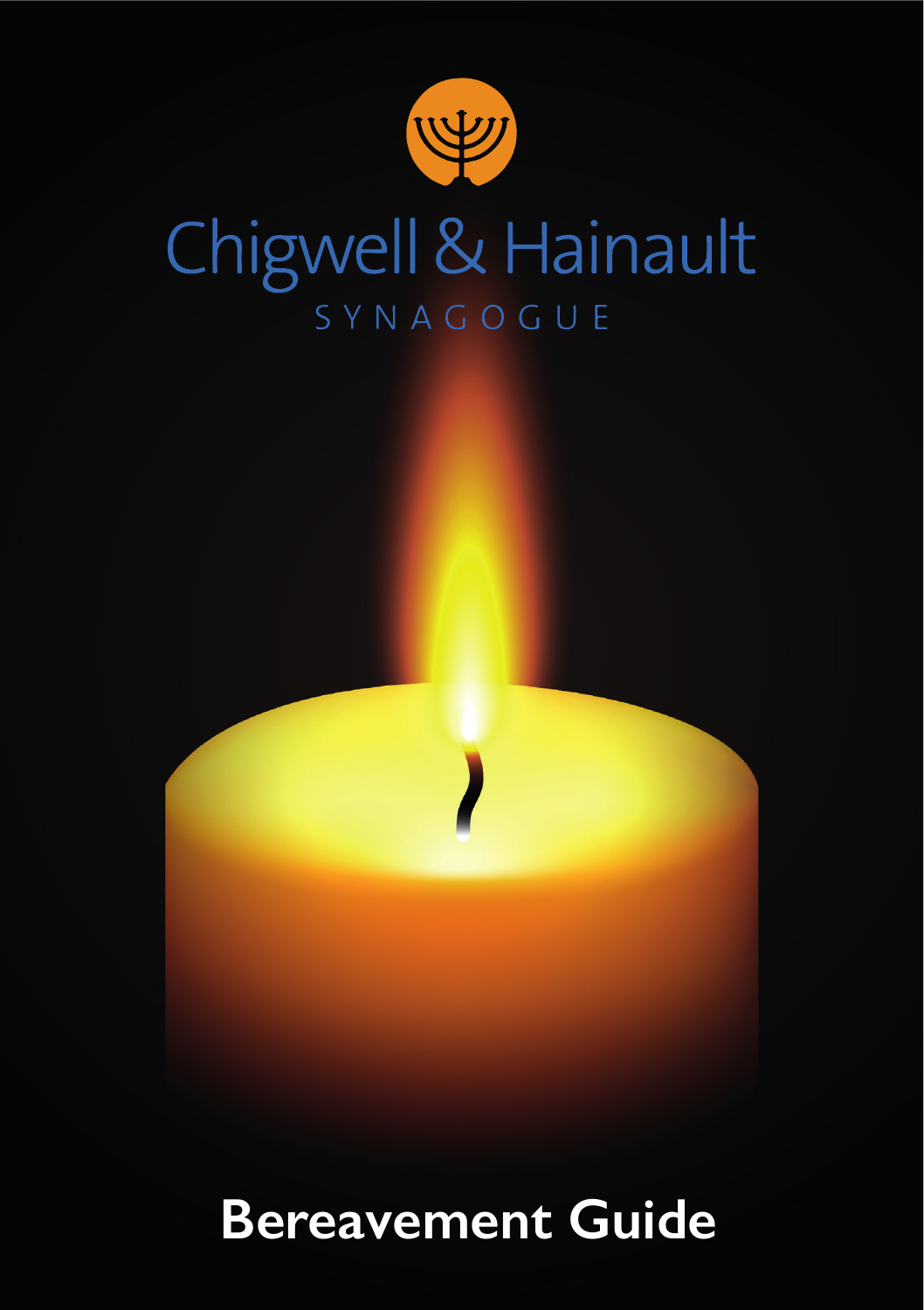

# Chigwell & Hainault SYNAGOGUE



# **Bereavement Guide**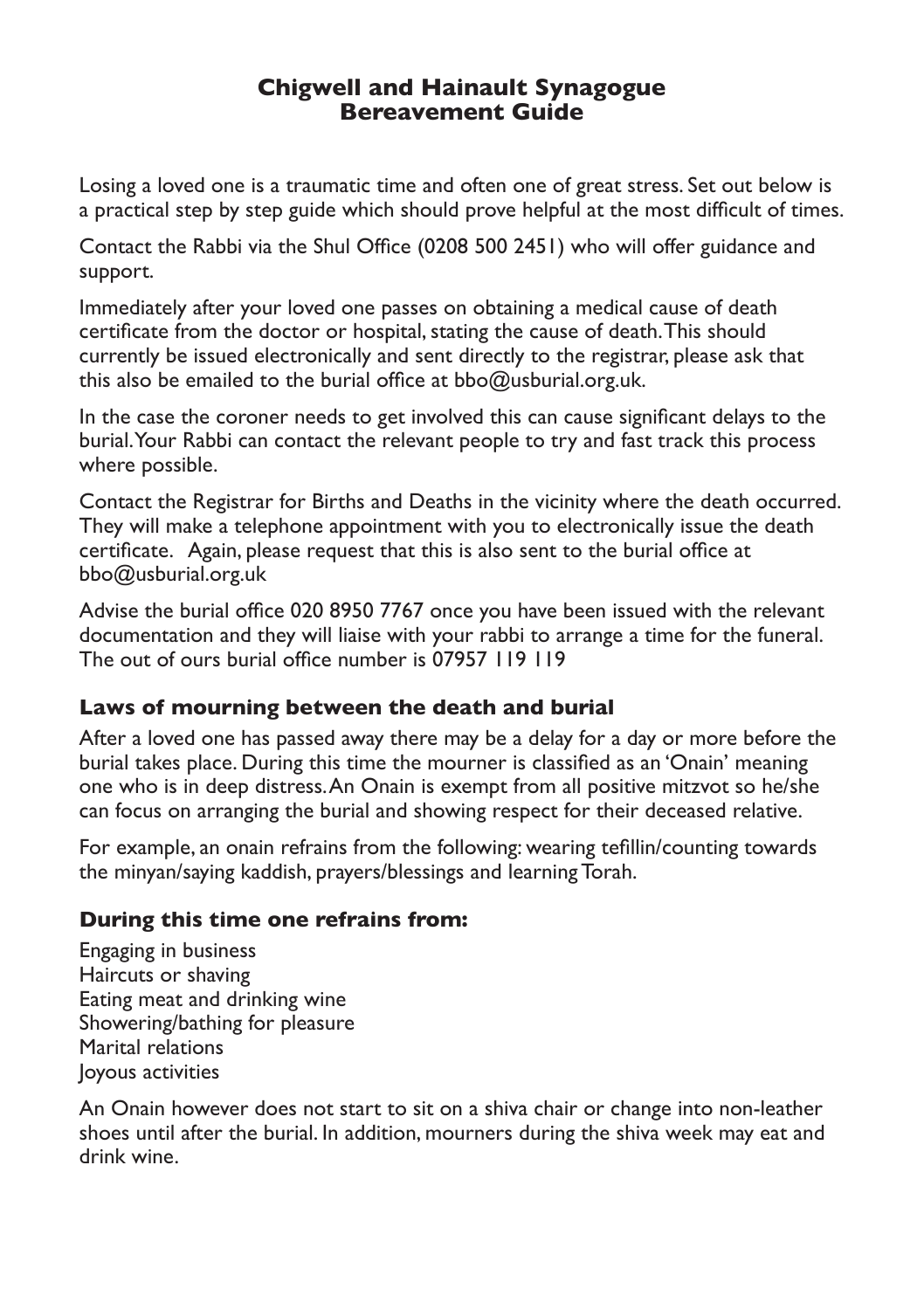#### **Chigwell and Hainault Synagogue Bereavement Guide**

Losing a loved one is a traumatic time and often one of great stress. Set out below is a practical step by step guide which should prove helpful at the most difficult of times.

Contact the Rabbi via the Shul Office (0208 500 2451) who will offer guidance and support.

Immediately after your loved one passes on obtaining a medical cause of death certificate from the doctor or hospital, stating the cause of death. This should currently be issued electronically and sent directly to the registrar, please ask that this also be emailed to the burial office at bbo@usburial.org.uk.

In the case the coroner needs to get involved this can cause significant delays to the burial. Your Rabbi can contact the relevant people to try and fast track this process where possible.

Contact the Registrar for Births and Deaths in the vicinity where the death occurred. They will make a telephone appointment with you to electronically issue the death certificate. Again, please request that this is also sent to the burial office at bbo@usburial.org.uk

Advise the burial office 020 8950 7767 once you have been issued with the relevant documentation and they will liaise with your rabbi to arrange a time for the funeral. The out of ours burial office number is 07957 119 119

#### **Laws of mourning between the death and burial**

After a loved one has passed away there may be a delay for a day or more before the burial takes place. During this time the mourner is classified as an 'Onain' meaning one who is in deep distress. An Onain is exempt from all positive mitzvot so he/she can focus on arranging the burial and showing respect for their deceased relative.

For example, an onain refrains from the following: wearing tefillin/counting towards the minyan/saying kaddish, prayers/blessings and learning Torah.

## **During this time one refrains from:**

Engaging in business Haircuts or shaving Eating meat and drinking wine Showering/bathing for pleasure Marital relations Joyous activities

An Onain however does not start to sit on a shiva chair or change into non-leather shoes until after the burial. In addition, mourners during the shiva week may eat and drink wine.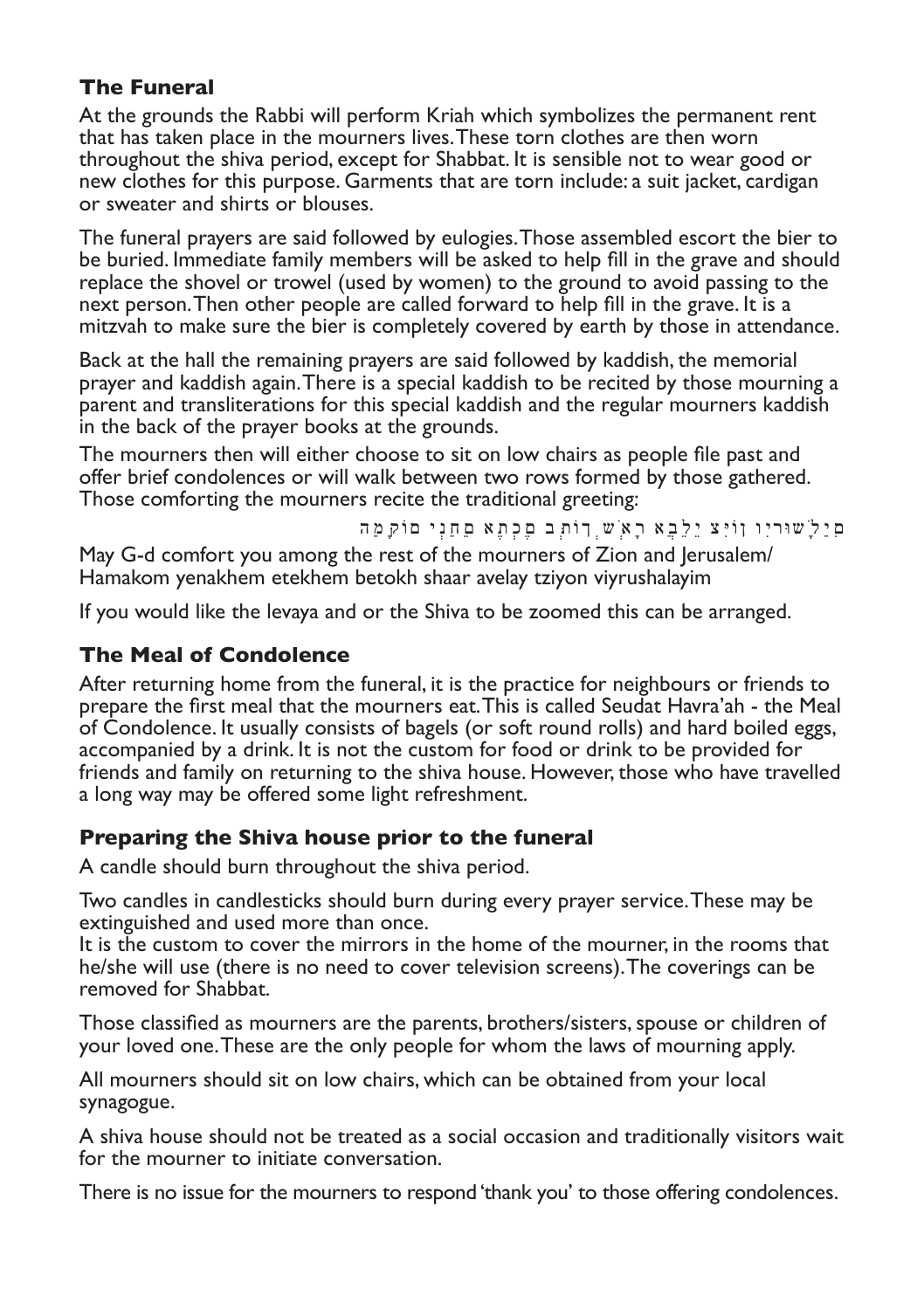### **The Funeral**

At the grounds the Rabbi will perform Kriah which symbolizes the permanent rent that has taken place in the mourners lives. These torn clothes are then worn throughout the shiva period, except for Shabbat. It is sensible not to wear good or new clothes for this purpose. Garments that are torn include: a suit jacket, cardigan or sweater and shirts or blouses.

The funeral prayers are said followed by eulogies. Those assembled escort the bier to be buried. Immediate family members will be asked to help fill in the grave and should replace the shovel or trowel (used by women) to the ground to avoid passing to the next person. Then other people are called forward to help fill in the grave. It is a mitzvah to make sure the bier is completely covered by earth by those in attendance.

Back at the hall the remaining prayers are said followed by kaddish, the memorial prayer and kaddish again. There is a special kaddish to be recited by those mourning a parent and transliterations for this special kaddish and the regular mourners kaddish in the back of the prayer books at the grounds.

The mourners then will either choose to sit on low chairs as people file past and offer brief condolences or will walk between two rows formed by those gathered. Those comforting the mourners recite the traditional greeting:

םִיַלָׁשּוריִו ןֹוּיִצ יֵלֵבֲא רָאְׁש ְךֹותְּב םֶכְתֶא םֵחַנְי םֹוקָּמַה

May G-d comfort you among the rest of the mourners of Zion and Jerusalem/ Hamakom yenakhem etekhem betokh shaar avelay tziyon viyrushalayim

If you would like the levaya and or the Shiva to be zoomed this can be arranged.

#### **The Meal of Condolence**

After returning home from the funeral, it is the practice for neighbours or friends to prepare the first meal that the mourners eat. This is called Seudat Havra'ah - the Meal of Condolence. It usually consists of bagels (or soft round rolls) and hard boiled eggs, accompanied by a drink. It is not the custom for food or drink to be provided for friends and family on returning to the shiva house. However, those who have travelled a long way may be offered some light refreshment.

#### **Preparing the Shiva house prior to the funeral**

A candle should burn throughout the shiva period.

Two candles in candlesticks should burn during every prayer service. These may be extinguished and used more than once.

It is the custom to cover the mirrors in the home of the mourner, in the rooms that he/she will use (there is no need to cover television screens). The coverings can be removed for Shabbat.

Those classified as mourners are the parents, brothers/sisters, spouse or children of your loved one. These are the only people for whom the laws of mourning apply.

All mourners should sit on low chairs, which can be obtained from your local synagogue.

A shiva house should not be treated as a social occasion and traditionally visitors wait for the mourner to initiate conversation.

There is no issue for the mourners to respond 'thank you' to those offering condolences.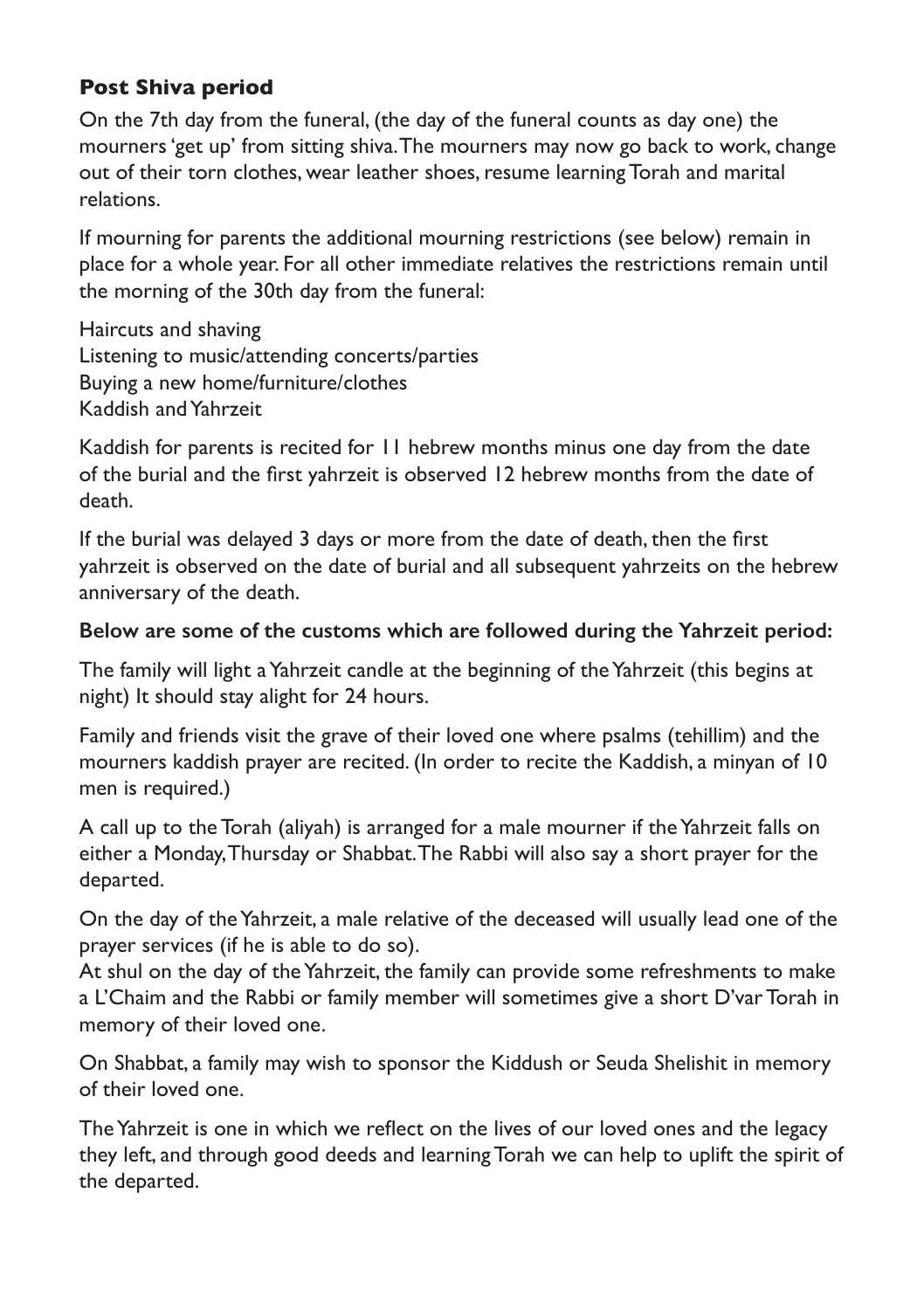# **Post Shiva period**

On the 7th day from the funeral, (the day of the funeral counts as day one) the mourners 'get up' from sitting shiva. The mourners may now go back to work, change out of their torn clothes, wear leather shoes, resume learning Torah and marital relations.

If mourning for parents the additional mourning restrictions (see below) remain in place for a whole year. For all other immediate relatives the restrictions remain until the morning of the 30th day from the funeral:

Haircuts and shaving Listening to music/attending concerts/parties Buying a new home/furniture/clothes Kaddish and Yahrzeit

Kaddish for parents is recited for 11 hebrew months minus one day from the date of the burial and the first yahrzeit is observed 12 hebrew months from the date of death.

If the burial was delayed 3 days or more from the date of death, then the first yahrzeit is observed on the date of burial and all subsequent yahrzeits on the hebrew anniversary of the death.

#### **Below are some of the customs which are followed during the Yahrzeit period:**

The family will light a Yahrzeit candle at the beginning of the Yahrzeit (this begins at night) It should stay alight for 24 hours.

Family and friends visit the grave of their loved one where psalms (tehillim) and the mourners kaddish prayer are recited. (In order to recite the Kaddish, a minyan of 10 men is required.)

A call up to the Torah (aliyah) is arranged for a male mourner if the Yahrzeit falls on either a Monday, Thursday or Shabbat. The Rabbi will also say a short prayer for the departed.

On the day of the Yahrzeit, a male relative of the deceased will usually lead one of the prayer services (if he is able to do so).

At shul on the day of the Yahrzeit, the family can provide some refreshments to make a L'Chaim and the Rabbi or family member will sometimes give a short D'var Torah in memory of their loved one.

On Shabbat, a family may wish to sponsor the Kiddush or Seuda Shelishit in memory of their loved one.

The Yahrzeit is one in which we reflect on the lives of our loved ones and the legacy they left, and through good deeds and learning Torah we can help to uplift the spirit of the departed.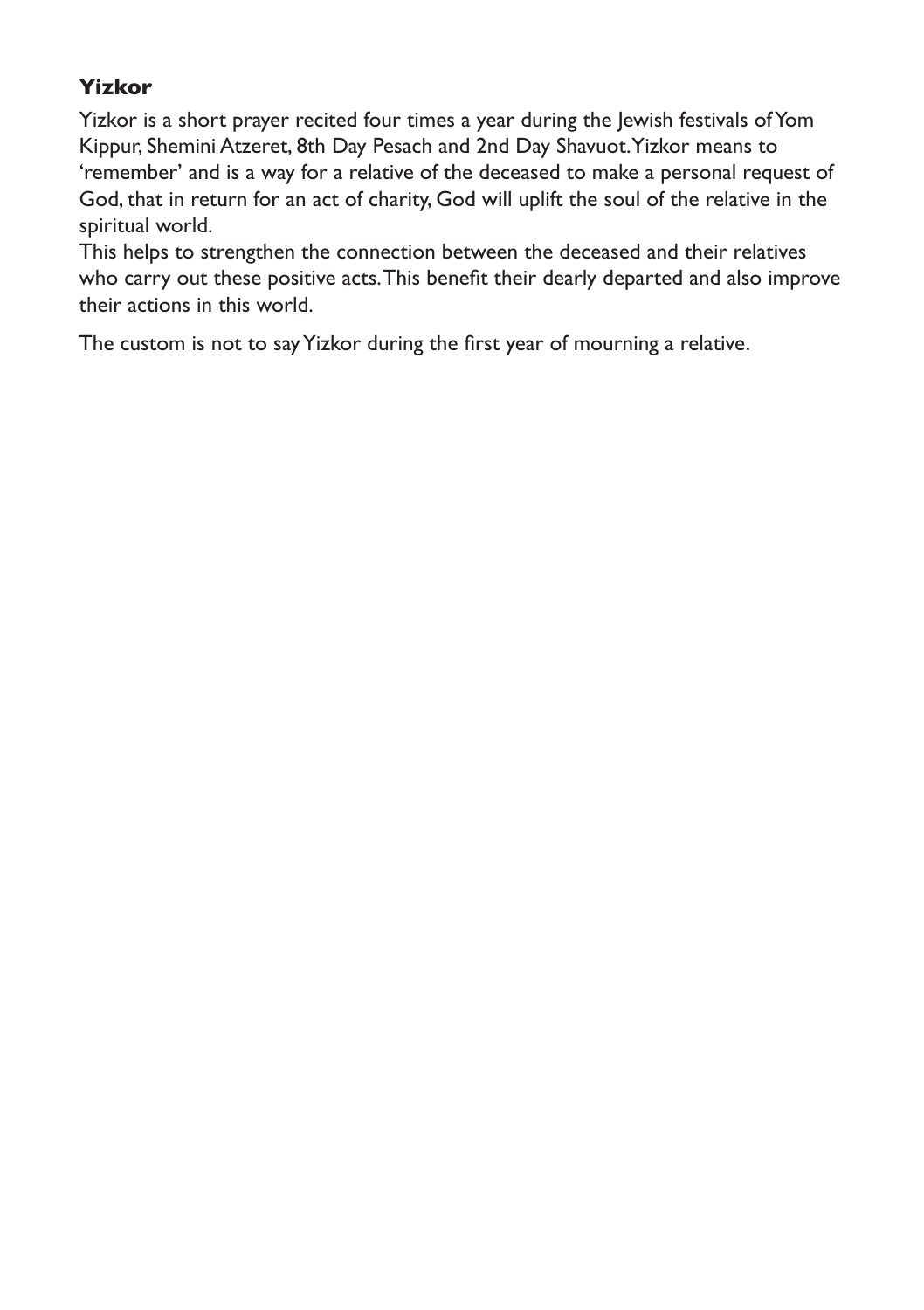# **Yizkor**

Yizkor is a short prayer recited four times a year during the Jewish festivals of Yom Kippur, Shemini Atzeret, 8th Day Pesach and 2nd Day Shavuot. Yizkor means to 'remember' and is a way for a relative of the deceased to make a personal request of God, that in return for an act of charity, God will uplift the soul of the relative in the spiritual world.

This helps to strengthen the connection between the deceased and their relatives who carry out these positive acts. This benefit their dearly departed and also improve their actions in this world.

The custom is not to say Yizkor during the first year of mourning a relative.